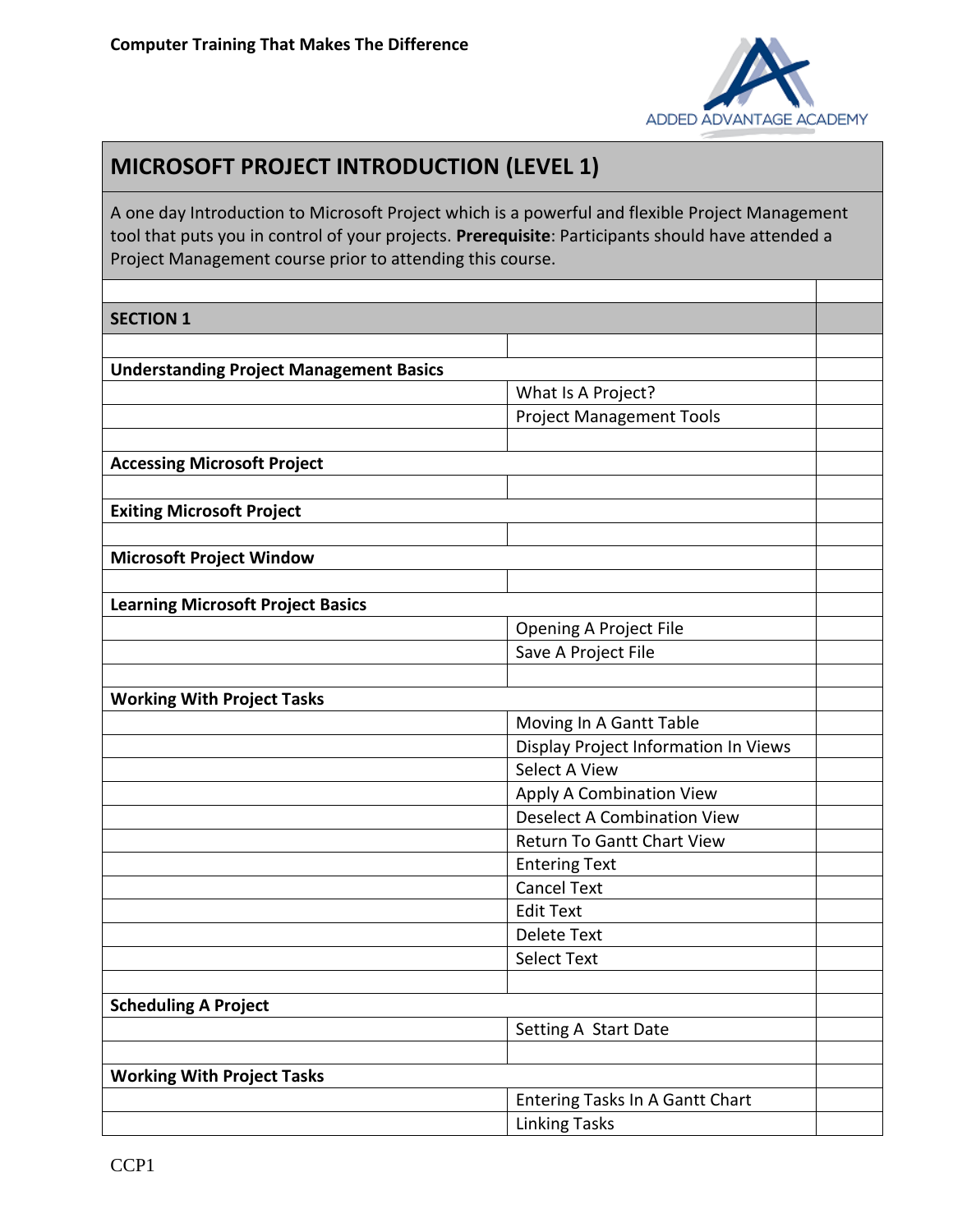

## **MICROSOFT PROJECT INTRODUCTION (LEVEL 1)**

A one day Introduction to Microsoft Project which is a powerful and flexible Project Management tool that puts you in control of your projects. **Prerequisite**: Participants should have attended a Project Management course prior to attending this course.

## $\mathsf{C}\mathsf{E}\mathsf{C}\mathsf{F}$  $\mathsf{I}\mathsf{O}\mathsf{N}$  $\mathsf{I}$

| <b>JECIIUN T</b>                               |                                      |
|------------------------------------------------|--------------------------------------|
|                                                |                                      |
| <b>Understanding Project Management Basics</b> |                                      |
|                                                | What Is A Project?                   |
|                                                | <b>Project Management Tools</b>      |
|                                                |                                      |
| <b>Accessing Microsoft Project</b>             |                                      |
|                                                |                                      |
| <b>Exiting Microsoft Project</b>               |                                      |
|                                                |                                      |
| <b>Microsoft Project Window</b>                |                                      |
|                                                |                                      |
| <b>Learning Microsoft Project Basics</b>       |                                      |
|                                                | <b>Opening A Project File</b>        |
|                                                | Save A Project File                  |
|                                                |                                      |
| <b>Working With Project Tasks</b>              |                                      |
|                                                | Moving In A Gantt Table              |
|                                                | Display Project Information In Views |
|                                                | Select A View                        |
|                                                | <b>Apply A Combination View</b>      |
|                                                | <b>Deselect A Combination View</b>   |
|                                                | <b>Return To Gantt Chart View</b>    |
|                                                | <b>Entering Text</b>                 |
|                                                | <b>Cancel Text</b>                   |
|                                                | <b>Edit Text</b>                     |
|                                                | <b>Delete Text</b>                   |
|                                                | <b>Select Text</b>                   |
|                                                |                                      |
| <b>Scheduling A Project</b>                    |                                      |
|                                                | Setting A Start Date                 |
|                                                |                                      |
| <b>Working With Project Tasks</b>              |                                      |
|                                                | Entering Tasks In A Gantt Chart      |
|                                                | <b>Linking Tasks</b>                 |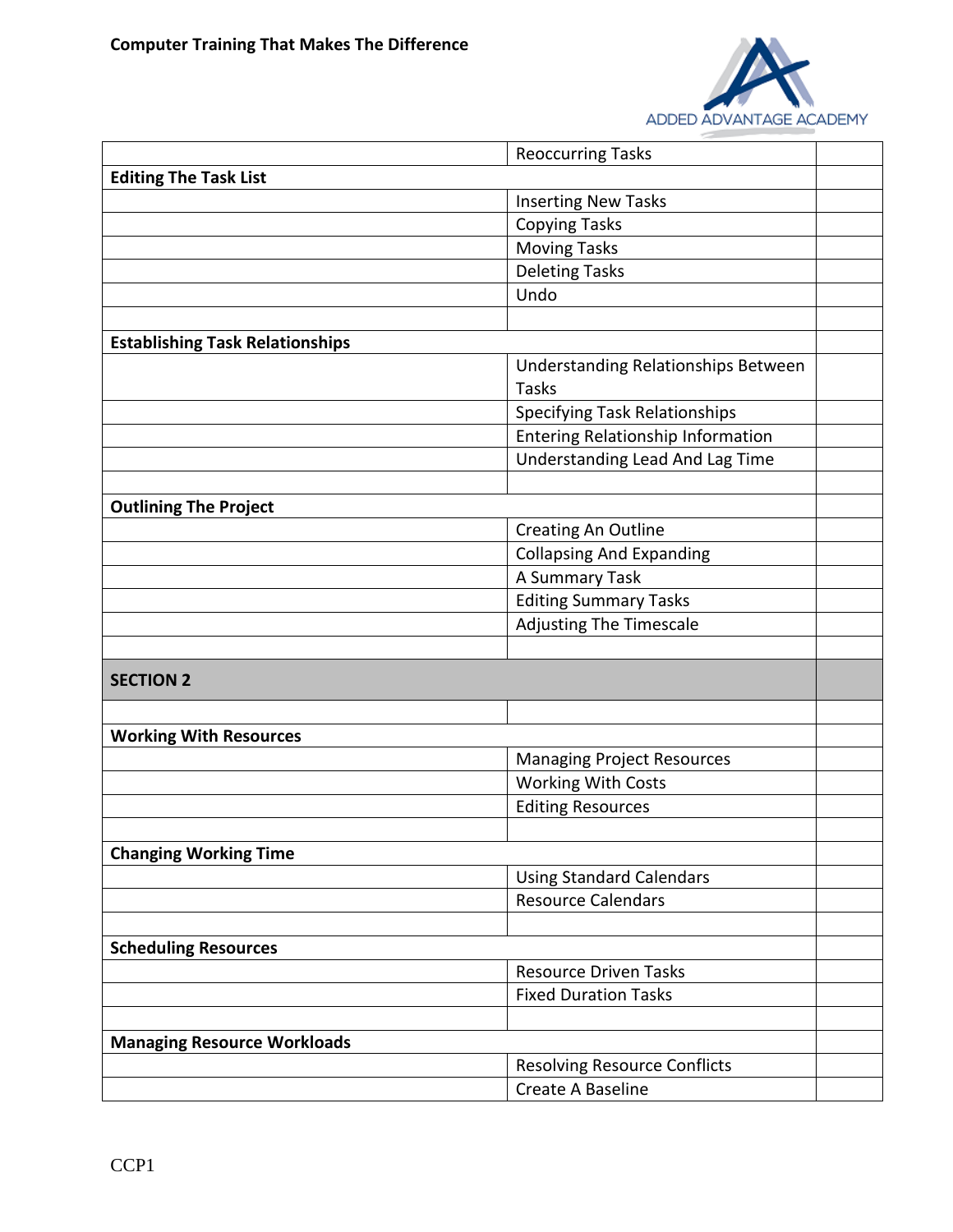

|                                        | <b>Reoccurring Tasks</b>            |  |
|----------------------------------------|-------------------------------------|--|
| <b>Editing The Task List</b>           |                                     |  |
|                                        | <b>Inserting New Tasks</b>          |  |
|                                        | <b>Copying Tasks</b>                |  |
|                                        | <b>Moving Tasks</b>                 |  |
|                                        | <b>Deleting Tasks</b>               |  |
|                                        | Undo                                |  |
|                                        |                                     |  |
| <b>Establishing Task Relationships</b> |                                     |  |
|                                        | Understanding Relationships Between |  |
|                                        | Tasks                               |  |
|                                        | Specifying Task Relationships       |  |
|                                        | Entering Relationship Information   |  |
|                                        | Understanding Lead And Lag Time     |  |
|                                        |                                     |  |
| <b>Outlining The Project</b>           |                                     |  |
|                                        | <b>Creating An Outline</b>          |  |
|                                        | <b>Collapsing And Expanding</b>     |  |
|                                        | A Summary Task                      |  |
|                                        | <b>Editing Summary Tasks</b>        |  |
|                                        | <b>Adjusting The Timescale</b>      |  |
|                                        |                                     |  |
| <b>SECTION 2</b>                       |                                     |  |
|                                        |                                     |  |
|                                        |                                     |  |
| <b>Working With Resources</b>          |                                     |  |
|                                        | <b>Managing Project Resources</b>   |  |
|                                        | <b>Working With Costs</b>           |  |
|                                        | <b>Editing Resources</b>            |  |
|                                        |                                     |  |
| <b>Changing Working Time</b>           |                                     |  |
|                                        | <b>Using Standard Calendars</b>     |  |
|                                        | <b>Resource Calendars</b>           |  |
|                                        |                                     |  |
| <b>Scheduling Resources</b>            |                                     |  |
|                                        | <b>Resource Driven Tasks</b>        |  |
|                                        | <b>Fixed Duration Tasks</b>         |  |
|                                        |                                     |  |
| <b>Managing Resource Workloads</b>     |                                     |  |
|                                        | <b>Resolving Resource Conflicts</b> |  |
|                                        | Create A Baseline                   |  |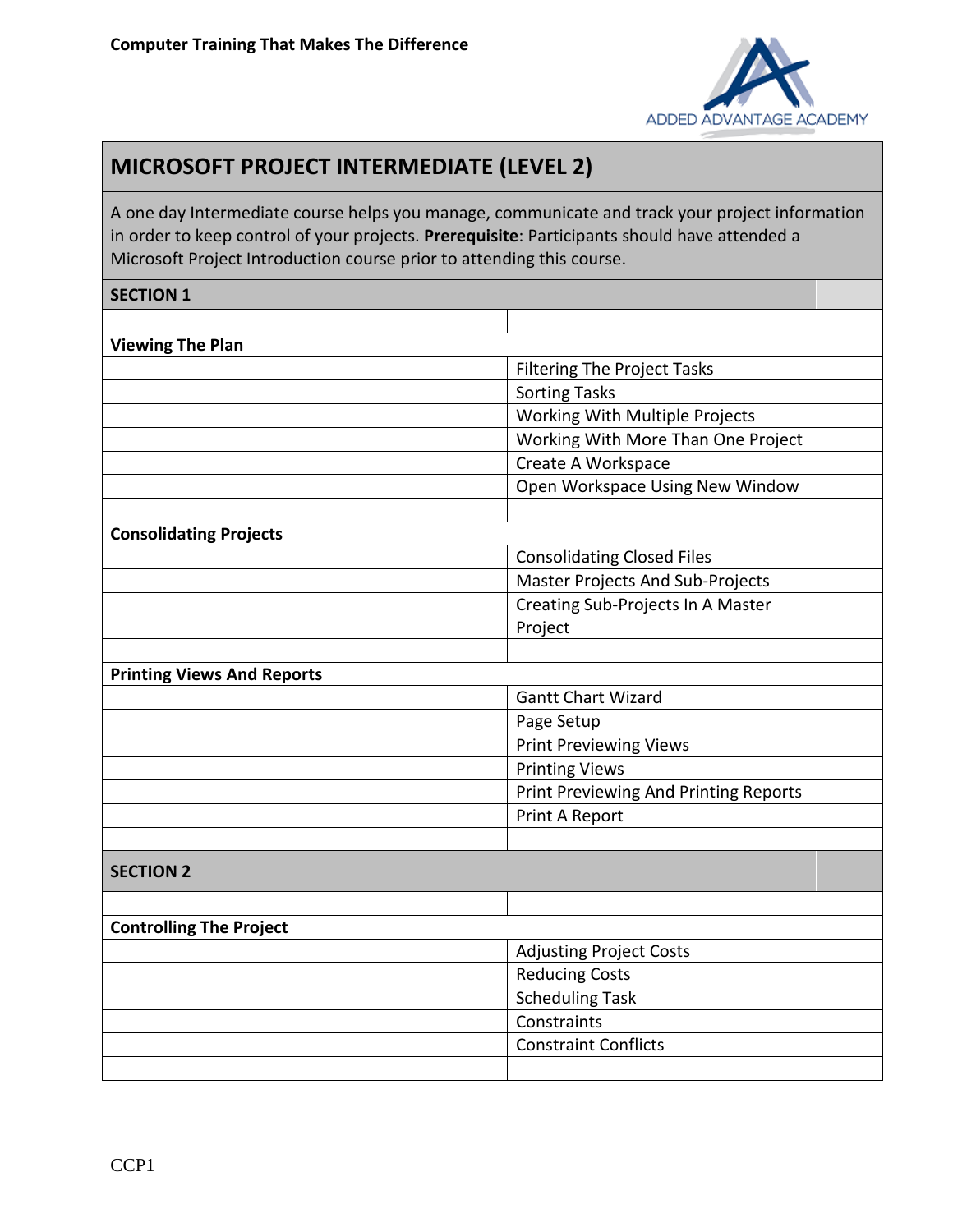

## **MICROSOFT PROJECT INTERMEDIATE (LEVEL 2)**

A one day Intermediate course helps you manage, communicate and track your project information in order to keep control of your projects. **Prerequisite**: Participants should have attended a Microsoft Project Introduction course prior to attending this course.

## **SECTION 1 Viewing The Plan** Filtering The Project Tasks Sorting Tasks Working With Multiple Projects Working With More Than One Project Create A Workspace Open Workspace Using New Window **Consolidating Projects** Consolidating Closed Files Master Projects And Sub-Projects Creating Sub-Projects In A Master Project **Printing Views And Reports** Gantt Chart Wizard Page Setup Print Previewing Views Printing Views Print Previewing And Printing Reports Print A Report **SECTION 2 Controlling The Project** Adjusting Project Costs Reducing Costs Scheduling Task **Constraints** Constraint Conflicts